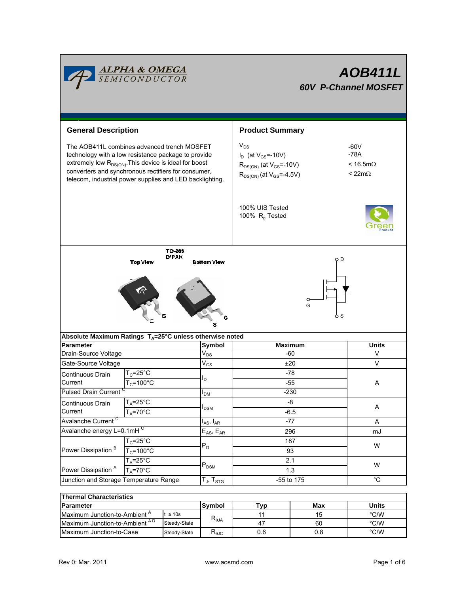| <u><b>ALPHA &amp; OMEGA</b><br/>SEMICONDUCTOR</u>                                                                                                                                                                                                                                           | <b>AOB411L</b><br><b>60V P-Channel MOSFET</b> |               |                                                  |                                                                                                                                                                             |                |                   |  |  |
|---------------------------------------------------------------------------------------------------------------------------------------------------------------------------------------------------------------------------------------------------------------------------------------------|-----------------------------------------------|---------------|--------------------------------------------------|-----------------------------------------------------------------------------------------------------------------------------------------------------------------------------|----------------|-------------------|--|--|
| <b>General Description</b>                                                                                                                                                                                                                                                                  |                                               |               |                                                  | <b>Product Summary</b>                                                                                                                                                      |                |                   |  |  |
| The AOB411L combines advanced trench MOSFET<br>technology with a low resistance package to provide<br>extremely low R <sub>DS(ON)</sub> . This device is ideal for boost<br>converters and synchronous rectifiers for consumer,<br>telecom, industrial power supplies and LED backlighting. |                                               |               |                                                  | $V_{DS}$<br>$-60V$<br>$-78A$<br>$I_D$ (at $V_{GS} = -10V$ )<br>< 16.5m $\Omega$<br>$R_{DS(ON)}$ (at $V_{GS}$ =-10V)<br>$< 22m\Omega$<br>$R_{DS(ON)}$ (at $V_{GS} = -4.5V$ ) |                |                   |  |  |
|                                                                                                                                                                                                                                                                                             |                                               |               |                                                  | 100% UIS Tested<br>100% R <sub>q</sub> Tested                                                                                                                               |                |                   |  |  |
| Top View<br>Bottom View                                                                                                                                                                                                                                                                     |                                               |               |                                                  | G                                                                                                                                                                           |                |                   |  |  |
| Absolute Maximum Ratings $T_A = 25^\circ C$ unless otherwise noted                                                                                                                                                                                                                          |                                               |               |                                                  |                                                                                                                                                                             |                |                   |  |  |
| <b>Parameter</b>                                                                                                                                                                                                                                                                            |                                               |               | Symbol<br>$V_{DS}$                               | <b>Maximum</b><br>$-60$                                                                                                                                                     |                | <b>Units</b><br>V |  |  |
| Drain-Source Voltage                                                                                                                                                                                                                                                                        |                                               |               |                                                  | ±20                                                                                                                                                                         |                | V                 |  |  |
| Gate-Source Voltage                                                                                                                                                                                                                                                                         |                                               |               | $V_{GS}$                                         | $-78$                                                                                                                                                                       |                |                   |  |  |
| Continuous Drain                                                                                                                                                                                                                                                                            | $T_c = 25$ °C                                 |               | ı,                                               |                                                                                                                                                                             |                |                   |  |  |
| $T_c = 100^{\circ}C$<br>Current<br><b>Pulsed Drain Current</b>                                                                                                                                                                                                                              |                                               |               | $-55$<br>$-230$                                  |                                                                                                                                                                             | A              |                   |  |  |
|                                                                                                                                                                                                                                                                                             |                                               |               | I <sub>DM</sub>                                  | -8                                                                                                                                                                          |                |                   |  |  |
| Continuous Drain                                                                                                                                                                                                                                                                            | $T_A = 25$ °C                                 |               | $I_{DSM}$                                        |                                                                                                                                                                             |                | A                 |  |  |
| Avalanche Current <sup>C</sup>                                                                                                                                                                                                                                                              | Current<br>$T_A = 70$ °C                      |               |                                                  | $-6.5$<br>$-77$                                                                                                                                                             |                |                   |  |  |
| Avalanche energy L=0.1mHC                                                                                                                                                                                                                                                                   |                                               |               | I <sub>as</sub> , I <sub>ar</sub>                |                                                                                                                                                                             | 296            | A                 |  |  |
|                                                                                                                                                                                                                                                                                             |                                               |               | $E_{AS}$ , $E_{AR}$                              |                                                                                                                                                                             |                | mJ                |  |  |
| Power Dissipation <sup>B</sup>                                                                                                                                                                                                                                                              | $T_c = 25$ °C                                 |               | $P_D$                                            | 187<br>93                                                                                                                                                                   |                | W                 |  |  |
|                                                                                                                                                                                                                                                                                             | $T_c = 100^{\circ}$ C                         |               |                                                  | 2.1                                                                                                                                                                         |                |                   |  |  |
| Power Dissipation <sup>A</sup>                                                                                                                                                                                                                                                              | $T_A = 70^\circ C$                            | $T_A = 25$ °C |                                                  | 1.3                                                                                                                                                                         |                | W                 |  |  |
| Junction and Storage Temperature Range                                                                                                                                                                                                                                                      |                                               |               | $\mathsf{P}_\mathsf{DSM}$<br>$T_{J}$ , $T_{STG}$ | -55 to 175                                                                                                                                                                  |                | $^{\circ}$ C      |  |  |
|                                                                                                                                                                                                                                                                                             |                                               |               |                                                  |                                                                                                                                                                             |                |                   |  |  |
| <b>Thermal Characteristics</b>                                                                                                                                                                                                                                                              |                                               |               |                                                  |                                                                                                                                                                             |                |                   |  |  |
| <b>Parameter</b>                                                                                                                                                                                                                                                                            |                                               |               | Symbol                                           | <b>Typ</b>                                                                                                                                                                  | <b>Max</b>     | <b>Units</b>      |  |  |
| Maximum Junction-to-Ambient <sup>A</sup><br>$t \leq 10s$                                                                                                                                                                                                                                    |                                               |               | $\textsf{R}_{\theta\textsf{JA}}$                 | 11                                                                                                                                                                          | 15             | °C/W              |  |  |
| Maximum Junction-to-Ambient AD<br>Steady-State                                                                                                                                                                                                                                              |                                               | 47            |                                                  | 60                                                                                                                                                                          | $^{\circ}$ C/W |                   |  |  |

 $\blacksquare$ 

Maximum Junction-to-Case Steady-State R<sub>eJC</sub> 0.6 0.8 C/W

47

60 0.8

0.6

Steady-State R<sub>θJC</sub>

п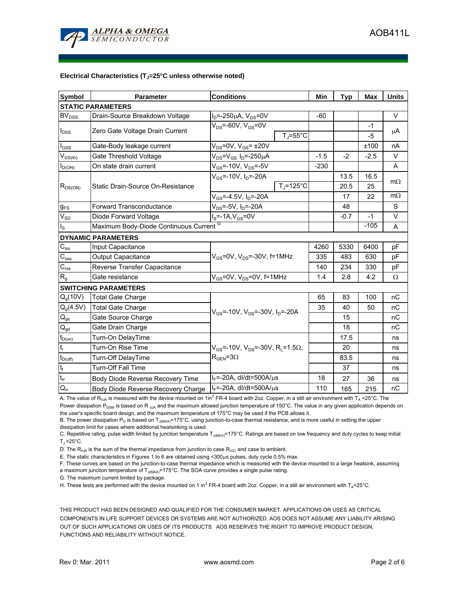

#### Electrical Characteristics (T<sub>J</sub>=25°C unless otherwise noted)

| <b>Symbol</b>               | <b>Conditions</b><br><b>Parameter</b>                                             |                                             |                                                                |        | <b>Typ</b> | <b>Max</b> | <b>Units</b> |  |  |  |  |  |
|-----------------------------|-----------------------------------------------------------------------------------|---------------------------------------------|----------------------------------------------------------------|--------|------------|------------|--------------|--|--|--|--|--|
| <b>STATIC PARAMETERS</b>    |                                                                                   |                                             |                                                                |        |            |            |              |  |  |  |  |  |
| <b>BV<sub>DSS</sub></b>     | Drain-Source Breakdown Voltage<br>$I_D$ =-250µA, $V_{GS}$ =0V                     |                                             |                                                                | $-60$  |            |            | $\vee$       |  |  |  |  |  |
|                             | Zero Gate Voltage Drain Current                                                   | $V_{DS}$ =-60V, $V_{GS}$ =0V                |                                                                |        |            | $-1$       |              |  |  |  |  |  |
| $I_{\text{DSS}}$            |                                                                                   |                                             | $T_{\rm J}$ =55°C                                              |        |            | $-5$       | μA           |  |  |  |  |  |
| $\mathsf{I}_{\mathsf{GSS}}$ | Gate-Body leakage current                                                         | $V_{DS}$ =0V, $V_{GS}$ = $\pm$ 20V          |                                                                |        | ±100       | nA         |              |  |  |  |  |  |
| $V_{GS(th)}$                | Gate Threshold Voltage                                                            | $V_{DS} = V_{GS} I_D = -250 \mu A$          | $-1.5$                                                         | $-2$   | $-2.5$     | $\vee$     |              |  |  |  |  |  |
| $I_{D(ON)}$                 | On state drain current                                                            | $V_{GS}$ =-10V, $V_{DS}$ =-5V               |                                                                | $-230$ |            |            | A            |  |  |  |  |  |
| $R_{DS(ON)}$                |                                                                                   | $V_{GS}$ =-10V, $I_D$ =-20A                 |                                                                |        | 13.5       | 16.5       |              |  |  |  |  |  |
|                             | Static Drain-Source On-Resistance                                                 |                                             | $T_{\rm J}$ =125°C                                             |        | 20.5       | 25         | $m\Omega$    |  |  |  |  |  |
|                             |                                                                                   | $V_{GS} = -4.5V$ , $I_D = -20A$             |                                                                |        | 17         | 22         | $m\Omega$    |  |  |  |  |  |
| $g_{FS}$                    | Forward Transconductance                                                          | $V_{DS} = -5V$ , $I_D = -20A$               |                                                                |        | 48         |            | S            |  |  |  |  |  |
| $V_{SD}$                    | Diode Forward Voltage                                                             |                                             |                                                                | $-0.7$ | $-1$       | $\vee$     |              |  |  |  |  |  |
| $I_{\rm S}$                 | Maximum Body-Diode Continuous Current G                                           |                                             |                                                                | $-105$ | A          |            |              |  |  |  |  |  |
|                             | <b>DYNAMIC PARAMETERS</b>                                                         |                                             |                                                                |        |            |            |              |  |  |  |  |  |
| $C_{\text{iss}}$            | Input Capacitance                                                                 |                                             |                                                                | 4260   | 5330       | 6400       | pF           |  |  |  |  |  |
| $C_{\rm oss}$               | <b>Output Capacitance</b>                                                         | $V_{GS}$ =0V, V <sub>DS</sub> =-30V, f=1MHz |                                                                | 335    | 483        | 630        | рF           |  |  |  |  |  |
| $C_{\rm rss}$               | Reverse Transfer Capacitance                                                      |                                             |                                                                | 140    | 234        | 330        | рF           |  |  |  |  |  |
| R <sub>g</sub>              | Gate resistance                                                                   | $V_{GS}$ =0V, $V_{DS}$ =0V, f=1MHz          |                                                                | 1.4    | 2.8        | 4.2        | Ω            |  |  |  |  |  |
|                             | <b>SWITCHING PARAMETERS</b>                                                       |                                             |                                                                |        |            |            |              |  |  |  |  |  |
| $Q_q(10V)$                  | <b>Total Gate Charge</b>                                                          |                                             |                                                                | 65     | 83         | 100        | nC           |  |  |  |  |  |
| $Q_q(4.5V)$                 | <b>Total Gate Charge</b>                                                          |                                             | 35                                                             | 40     | 50         | nC         |              |  |  |  |  |  |
| $Q_{gs}$                    | $V_{GS}$ =-10V, V <sub>DS</sub> =-30V, I <sub>D</sub> =-20A<br>Gate Source Charge |                                             |                                                                |        | 15         |            | nC           |  |  |  |  |  |
| $Q_{gd}$                    | Gate Drain Charge                                                                 |                                             |                                                                |        | 18         |            | nC           |  |  |  |  |  |
| $t_{D(0n)}$                 | Turn-On DelayTime                                                                 |                                             |                                                                |        | 17.5       |            | ns           |  |  |  |  |  |
| $\mathfrak{t}_{\mathsf{r}}$ | Turn-On Rise Time                                                                 |                                             | $V_{GS}$ =-10V, $V_{DS}$ =-30V, R <sub>L</sub> =1.5 $\Omega$ , |        | 20         |            | ns           |  |  |  |  |  |
| $t_{D(off)}$                | $R_{\text{GEN}} = 3\Omega$<br>Turn-Off DelayTime                                  |                                             |                                                                |        | 83.5       |            | ns           |  |  |  |  |  |
| $t_f$                       | Turn-Off Fall Time                                                                |                                             |                                                                | 37     |            | ns         |              |  |  |  |  |  |
| $\mathfrak{t}_{\text{rr}}$  | Body Diode Reverse Recovery Time                                                  | $I_F = -20A$ , dl/dt=500A/ $\mu$ s          |                                                                | 18     | 27         | 36         | ns           |  |  |  |  |  |
| $Q_{rr}$                    | Body Diode Reverse Recovery Charge                                                | $I_F$ =-20A, dl/dt=500A/ $\mu$ s            | 110                                                            | 165    | 215        | nC         |              |  |  |  |  |  |

A. The value of R<sub>0JA</sub> is measured with the device mounted on 1in<sup>2</sup> FR-4 board with 2oz. Copper, in a still air environment with T<sub>A</sub> =25°C. The Power dissipation P<sub>DSM</sub> is based on R <sub>θ</sub><sub>Α</sub> and the maximum allowed junction temperature of 150°C. The value in any given application depends on the user's specific board design, and the maximum temperature of 175°C may be used if the PCB allows it.

B. The power dissipation  $P_D$  is based on  $T_{J(MAX)}$ =175°C, using junction-to-case thermal resistance, and is more useful in setting the upper dissipation limit for cases where additional heatsinking is used.

C. Repetitive rating, pulse width limited by junction temperature T<sub>J(MAX)</sub>=175°C. Ratings are based on low frequency and duty cycles to keep initial  $T_{\text{J}}$  =25°C.

D. The  $R_{0JA}$  is the sum of the thermal impedance from junction to case  $R_{0JC}$  and case to ambient.

E. The static characteristics in Figures 1 to 6 are obtained using <300µs pulses, duty cycle 0.5% max.

F. These curves are based on the junction-to-case thermal impedance which is measured with the device mounted to a large heatsink, assuming a maximum junction temperature of  $T_{J(MAX)}$ =175°C. The SOA curve provides a single pulse rating.

G. The maximum current limited by package.

H. These tests are performed with the device mounted on 1 in<sup>2</sup> FR-4 board with 2oz. Copper, in a still air environment with T<sub>A</sub>=25°C.

THIS PRODUCT HAS BEEN DESIGNED AND QUALIFIED FOR THE CONSUMER MARKET. APPLICATIONS OR USES AS CRITICAL COMPONENTS IN LIFE SUPPORT DEVICES OR SYSTEMS ARE NOT AUTHORIZED. AOS DOES NOT ASSUME ANY LIABILITY ARISING OUT OF SUCH APPLICATIONS OR USES OF ITS PRODUCTS. AOS RESERVES THE RIGHT TO IMPROVE PRODUCT DESIGN, FUNCTIONS AND RELIABILITY WITHOUT NOTICE.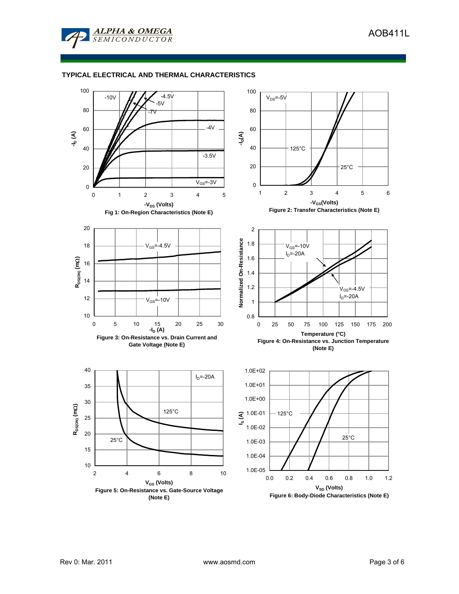

### **TYPICAL ELECTRICAL AND THERMAL CHARACTERISTICS**

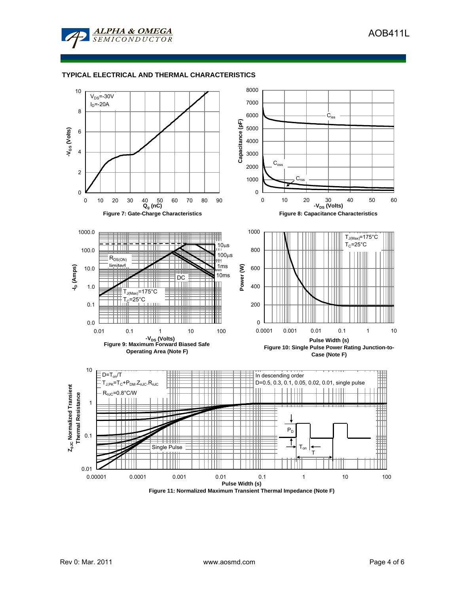

### **TYPICAL ELECTRICAL AND THERMAL CHARACTERISTICS**

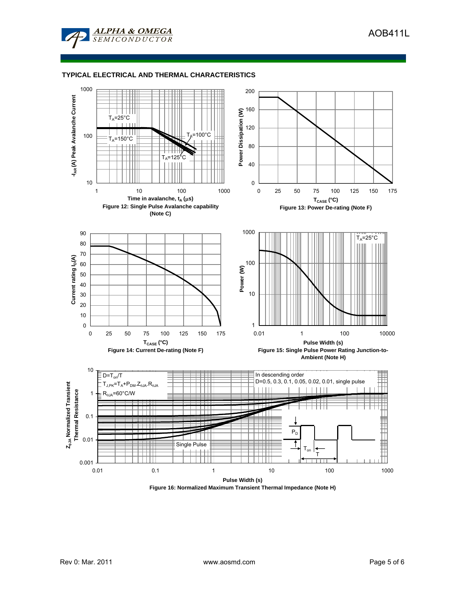

### **TYPICAL ELECTRICAL AND THERMAL CHARACTERISTICS**